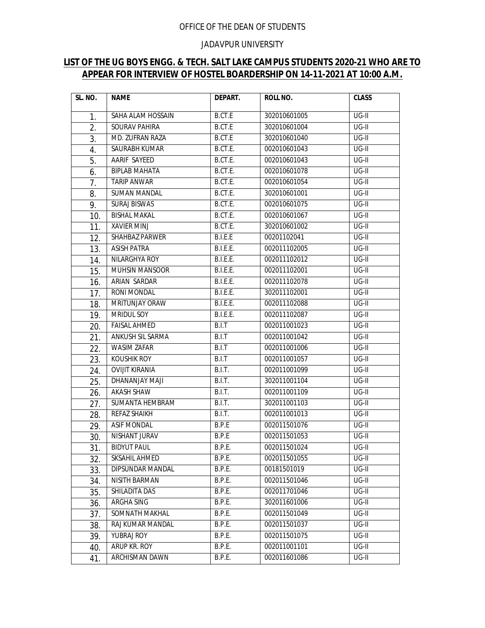## OFFICE OF THE DEAN OF STUDENTS

## JADAVPUR UNIVERSITY

## **LIST OF THE UG BOYS ENGG. & TECH. SALT LAKE CAMPUS STUDENTS 2020-21 WHO ARE TO APPEAR FOR INTERVIEW OF HOSTEL BOARDERSHIP ON 14-11-2021 AT 10:00 A.M.**

| SL. NO. | <b>NAME</b>           | DEPART.         | ROLL NO.     | <b>CLASS</b> |
|---------|-----------------------|-----------------|--------------|--------------|
| 1.      | SAHA ALAM HOSSAIN     | <b>B.CT.E</b>   | 302010601005 | UG-II        |
| 2.      | SOURAV PAHIRA         | B.CT.E          | 302010601004 | $UG-II$      |
| 3.      | MD. ZUFRAN RAZA       | B.CT.E          | 302010601040 | UG-II        |
| 4.      | SAURABH KUMAR         | B.CT.E.         | 002010601043 | UG-II        |
| 5.      | <b>AARIF SAYEED</b>   | B.CT.E.         | 002010601043 | UG-II        |
| 6.      | <b>BIPLAB MAHATA</b>  | B.CT.E.         | 002010601078 | UG-II        |
| 7.      | <b>TARIP ANWAR</b>    | B.CT.E.         | 002010601054 | UG-II        |
| 8.      | <b>SUMAN MANDAL</b>   | B.CT.E.         | 302010601001 | $UG-II$      |
| 9.      | <b>SURAJ BISWAS</b>   | B.CT.E.         | 002010601075 | $UG-II$      |
| 10.     | <b>BISHAL MAKAL</b>   | B.CT.E.         | 002010601067 | UG-II        |
| 11.     | XAVIER MINJ           | B.CT.E.         | 302010601002 | UG-II        |
| 12.     | SHAHBAZ PARWER        | B.I.E.E         | 00201102041  | $UG-II$      |
| 13.     | <b>ASISH PATRA</b>    | B.I.E.E.        | 002011102005 | $UG-II$      |
| 14.     | NILARGHYA ROY         | B.I.E.E.        | 002011102012 | UG-II        |
| 15.     | <b>MUHSIN MANSOOR</b> | B.I.E.E.        | 002011102001 | $UG-II$      |
| 16.     | ARIAN SARDAR          | B.I.E.E.        | 002011102078 | UG-II        |
| 17.     | RONI MONDAL           | B.I.E.E.        | 302011102001 | UG-II        |
| 18.     | <b>MRITUNJAY ORAW</b> | <b>B.I.E.E.</b> | 002011102088 | $UG-II$      |
| 19.     | MRIDUL SOY            | B.I.E.E.        | 002011102087 | UG-II        |
| 20.     | <b>FAISAL AHMED</b>   | B.I.T           | 002011001023 | UG-II        |
| 21.     | ANKUSH SIL SARMA      | B.I.T           | 002011001042 | $UG-II$      |
| 22.     | <b>WASIM ZAFAR</b>    | B.I.T           | 002011001006 | $UG-II$      |
| 23.     | KOUSHIK ROY           | B.I.T           | 002011001057 | UG-II        |
| 24.     | <b>OVIJIT KIRANIA</b> | B.I.T.          | 002011001099 | UG-II        |
| 25.     | DHANANJAY MAJI        | B.I.T.          | 302011001104 | UG-II        |
| 26.     | AKASH SHAW            | B.I.T.          | 002011001109 | UG-II        |
| 27.     | SUMANTA HEMBRAM       | B.I.T.          | 302011001103 | $UG-II$      |
| 28.     | REFAZ SHAIKH          | B.I.T.          | 002011001013 | $UG-II$      |
| 29.     | ASIF MONDAL           | B.P.E           | 002011501076 | UG-II        |
| 30.     | NISHANT JURAV         | B.P.E           | 002011501053 | UG-II        |
| 31.     | <b>BIDYUT PAUL</b>    | <b>B.P.E.</b>   | 002011501024 | UG-II        |
| 32.     | SKSAHIL AHMED         | B.P.E.          | 002011501055 | UG-II        |
| 33.     | DIPSUNDAR MANDAL      | B.P.E.          | 00181501019  | UG-II        |
| 34.     | NISITH BARMAN         | B.P.E.          | 002011501046 | UG-II        |
| 35.     | SHILADITA DAS         | B.P.E.          | 002011701046 | UG-II        |
| 36.     | ARGHA SING            | B.P.E.          | 302011601006 | UG-II        |
| 37.     | SOMNATH MAKHAL        | B.P.E.          | 002011501049 | $UG-II$      |
| 38.     | RAJ KUMAR MANDAL      | B.P.E.          | 002011501037 | UG-II        |
| 39.     | YUBRAJ ROY            | B.P.E.          | 002011501075 | UG-II        |
| 40.     | ARUP KR. ROY          | B.P.E.          | 002011001101 | UG-II        |
| 41.     | ARCHISMAN DAWN        | B.P.E.          | 002011601086 | UG-II        |